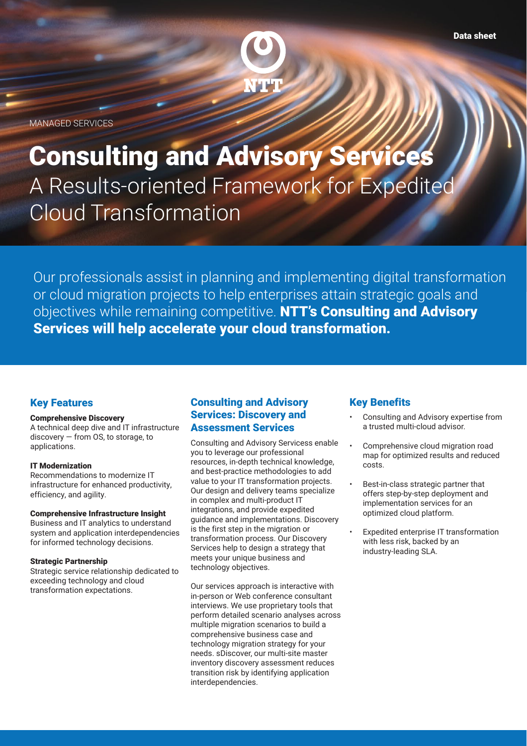

MANAGED SERVICES

# A Results-oriented Framework for Expedited Cloud Transformation Consulting and Advisory Services

Our professionals assist in planning and implementing digital transformation or cloud migration projects to help enterprises attain strategic goals and objectives while remaining competitive. NTT's Consulting and Advisory Services will help accelerate your cloud transformation.

## Key Features

## Comprehensive Discovery

A technical deep dive and IT infrastructure discovery — from OS, to storage, to applications.

## IT Modernization

Recommendations to modernize IT infrastructure for enhanced productivity, efficiency, and agility.

## Comprehensive Infrastructure Insight

Business and IT analytics to understand system and application interdependencies for informed technology decisions.

#### Strategic Partnership

Strategic service relationship dedicated to exceeding technology and cloud transformation expectations.

## Consulting and Advisory Services: Discovery and Assessment Services

Consulting and Advisory Servicess enable you to leverage our professional resources, in-depth technical knowledge, and best-practice methodologies to add value to your IT transformation projects. Our design and delivery teams specialize in complex and multi-product IT integrations, and provide expedited guidance and implementations. Discovery is the first step in the migration or transformation process. Our Discovery Services help to design a strategy that meets your unique business and technology objectives.

Our services approach is interactive with in-person or Web conference consultant interviews. We use proprietary tools that perform detailed scenario analyses across multiple migration scenarios to build a comprehensive business case and technology migration strategy for your needs. sDiscover, our multi-site master inventory discovery assessment reduces transition risk by identifying application interdependencies.

## Key Benefits

- Consulting and Advisory expertise from a trusted multi-cloud advisor.
- Comprehensive cloud migration road map for optimized results and reduced costs.
- Best-in-class strategic partner that offers step-by-step deployment and implementation services for an optimized cloud platform.
- Expedited enterprise IT transformation with less risk, backed by an industry-leading SLA.